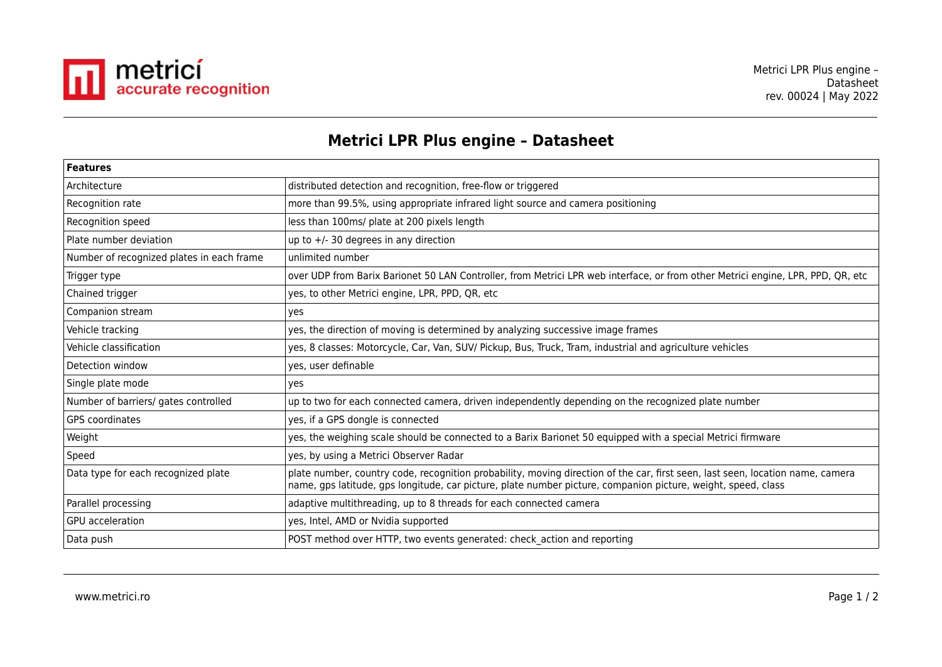

## **Metrici LPR Plus engine – Datasheet**

| <b>Features</b>                           |                                                                                                                                                                                                                                                 |  |
|-------------------------------------------|-------------------------------------------------------------------------------------------------------------------------------------------------------------------------------------------------------------------------------------------------|--|
| Architecture                              | distributed detection and recognition, free-flow or triggered                                                                                                                                                                                   |  |
| Recognition rate                          | more than 99.5%, using appropriate infrared light source and camera positioning                                                                                                                                                                 |  |
| Recognition speed                         | less than 100ms/ plate at 200 pixels length                                                                                                                                                                                                     |  |
| Plate number deviation                    | up to $+/-$ 30 degrees in any direction                                                                                                                                                                                                         |  |
| Number of recognized plates in each frame | unlimited number                                                                                                                                                                                                                                |  |
| Trigger type                              | over UDP from Barix Barionet 50 LAN Controller, from Metrici LPR web interface, or from other Metrici engine, LPR, PPD, QR, etc                                                                                                                 |  |
| Chained trigger                           | yes, to other Metrici engine, LPR, PPD, QR, etc                                                                                                                                                                                                 |  |
| Companion stream                          | yes                                                                                                                                                                                                                                             |  |
| Vehicle tracking                          | yes, the direction of moving is determined by analyzing successive image frames                                                                                                                                                                 |  |
| Vehicle classification                    | yes, 8 classes: Motorcycle, Car, Van, SUV/ Pickup, Bus, Truck, Tram, industrial and agriculture vehicles                                                                                                                                        |  |
| Detection window                          | yes, user definable                                                                                                                                                                                                                             |  |
| Single plate mode                         | yes                                                                                                                                                                                                                                             |  |
| Number of barriers/ gates controlled      | up to two for each connected camera, driven independently depending on the recognized plate number                                                                                                                                              |  |
| <b>GPS</b> coordinates                    | yes, if a GPS dongle is connected                                                                                                                                                                                                               |  |
| Weight                                    | yes, the weighing scale should be connected to a Barix Barionet 50 equipped with a special Metrici firmware                                                                                                                                     |  |
| Speed                                     | yes, by using a Metrici Observer Radar                                                                                                                                                                                                          |  |
| Data type for each recognized plate       | plate number, country code, recognition probability, moving direction of the car, first seen, last seen, location name, camera<br>name, gps latitude, gps longitude, car picture, plate number picture, companion picture, weight, speed, class |  |
| Parallel processing                       | adaptive multithreading, up to 8 threads for each connected camera                                                                                                                                                                              |  |
| <b>GPU</b> acceleration                   | yes, Intel, AMD or Nvidia supported                                                                                                                                                                                                             |  |
| Data push                                 | POST method over HTTP, two events generated: check action and reporting                                                                                                                                                                         |  |